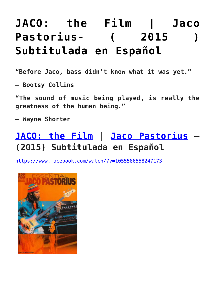## **[JACO: the Film | Jaco](https://sheetmusiclibrary.website/2021/12/08/jaco-pastorius/) [Pastorius- \( 2015 \)](https://sheetmusiclibrary.website/2021/12/08/jaco-pastorius/) [Subtitulada en Español](https://sheetmusiclibrary.website/2021/12/08/jaco-pastorius/)**

**"Before Jaco, bass didn't know what it was yet."**

**– Bootsy Collins**

**"The sound of music being played, is really the greatness of the human being."**

**– Wayne Shorter**

## **[JACO: the Film](https://www.facebook.com/watch/?v=1055586558247173) | [Jaco Pastorius](https://sheetmusiclibrary.website/jazz-soul-boogie-gospel-blues-piano-sheet-music-pdf/) – (2015) Subtitulada en Español**

<https://www.facebook.com/watch/?v=1055586558247173>